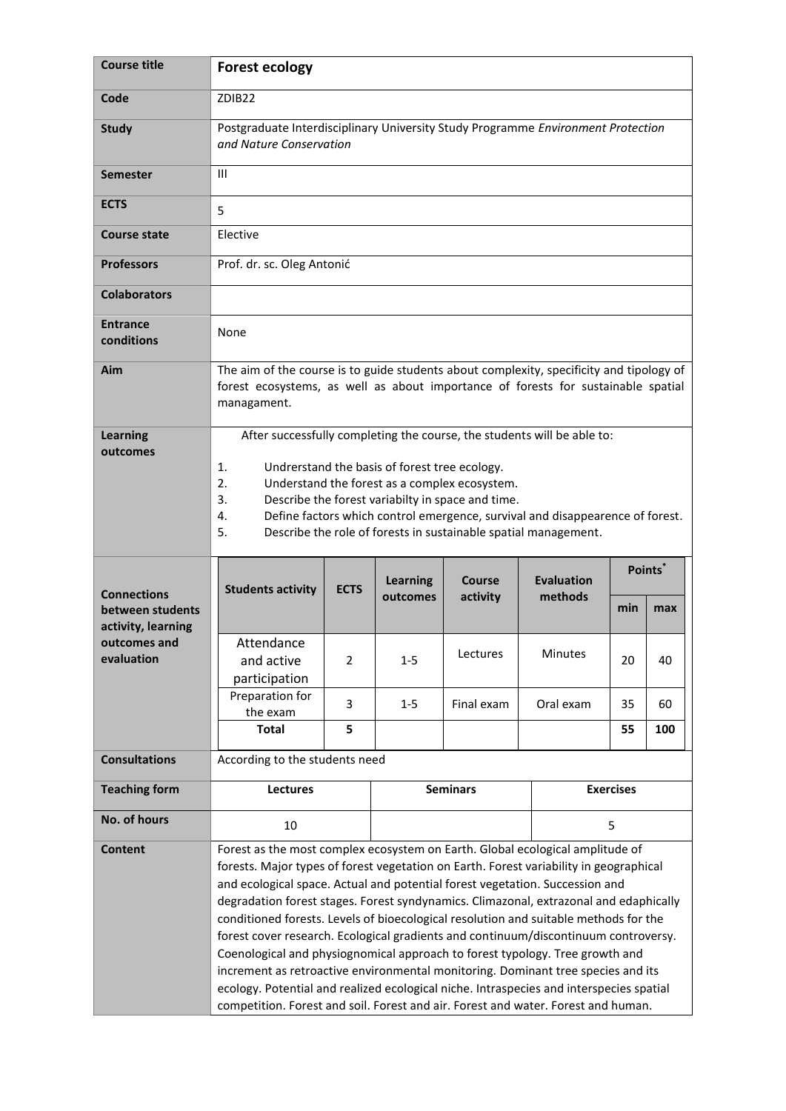| <b>Course title</b>                              | <b>Forest ecology</b>                                                                                                                                                                                                                                                                                                                                                                                            |                |                             |                           |                              |                  |                     |
|--------------------------------------------------|------------------------------------------------------------------------------------------------------------------------------------------------------------------------------------------------------------------------------------------------------------------------------------------------------------------------------------------------------------------------------------------------------------------|----------------|-----------------------------|---------------------------|------------------------------|------------------|---------------------|
| Code                                             | ZDIB <sub>22</sub>                                                                                                                                                                                                                                                                                                                                                                                               |                |                             |                           |                              |                  |                     |
| <b>Study</b>                                     | Postgraduate Interdisciplinary University Study Programme Environment Protection<br>and Nature Conservation                                                                                                                                                                                                                                                                                                      |                |                             |                           |                              |                  |                     |
| <b>Semester</b>                                  | Ш                                                                                                                                                                                                                                                                                                                                                                                                                |                |                             |                           |                              |                  |                     |
| <b>ECTS</b>                                      | 5                                                                                                                                                                                                                                                                                                                                                                                                                |                |                             |                           |                              |                  |                     |
| <b>Course state</b>                              | Elective                                                                                                                                                                                                                                                                                                                                                                                                         |                |                             |                           |                              |                  |                     |
| <b>Professors</b>                                | Prof. dr. sc. Oleg Antonić                                                                                                                                                                                                                                                                                                                                                                                       |                |                             |                           |                              |                  |                     |
| <b>Colaborators</b>                              |                                                                                                                                                                                                                                                                                                                                                                                                                  |                |                             |                           |                              |                  |                     |
| <b>Entrance</b><br>conditions                    | None                                                                                                                                                                                                                                                                                                                                                                                                             |                |                             |                           |                              |                  |                     |
| Aim                                              | The aim of the course is to guide students about complexity, specificity and tipology of<br>forest ecosystems, as well as about importance of forests for sustainable spatial<br>managament.                                                                                                                                                                                                                     |                |                             |                           |                              |                  |                     |
| <b>Learning</b><br>outcomes                      | After successfully completing the course, the students will be able to:<br>1.<br>Undrerstand the basis of forest tree ecology.<br>2.<br>Understand the forest as a complex ecosystem.<br>3.<br>Describe the forest variabilty in space and time.<br>4.<br>Define factors which control emergence, survival and disappearence of forest.<br>5.<br>Describe the role of forests in sustainable spatial management. |                |                             |                           |                              |                  |                     |
| <b>Connections</b><br>between students           | <b>Students activity</b>                                                                                                                                                                                                                                                                                                                                                                                         | <b>ECTS</b>    | <b>Learning</b><br>outcomes | <b>Course</b><br>activity | <b>Evaluation</b><br>methods |                  | Points <sup>*</sup> |
|                                                  |                                                                                                                                                                                                                                                                                                                                                                                                                  |                |                             |                           |                              | min              | max                 |
| activity, learning<br>outcomes and<br>evaluation | Attendance<br>and active<br>participation                                                                                                                                                                                                                                                                                                                                                                        | $\overline{2}$ | $1 - 5$                     | Lectures                  | Minutes                      | 20               | 40                  |
|                                                  | Preparation for                                                                                                                                                                                                                                                                                                                                                                                                  | 3              | $1 - 5$                     | Final exam                | Oral exam                    | 35               | 60                  |
|                                                  | the exam<br><b>Total</b>                                                                                                                                                                                                                                                                                                                                                                                         | 5              |                             |                           |                              | 55               | 100                 |
| <b>Consultations</b>                             | According to the students need                                                                                                                                                                                                                                                                                                                                                                                   |                |                             |                           |                              |                  |                     |
| <b>Teaching form</b>                             | <b>Lectures</b>                                                                                                                                                                                                                                                                                                                                                                                                  |                |                             | <b>Seminars</b>           |                              | <b>Exercises</b> |                     |
| No. of hours                                     | 10                                                                                                                                                                                                                                                                                                                                                                                                               |                |                             |                           |                              | 5                |                     |